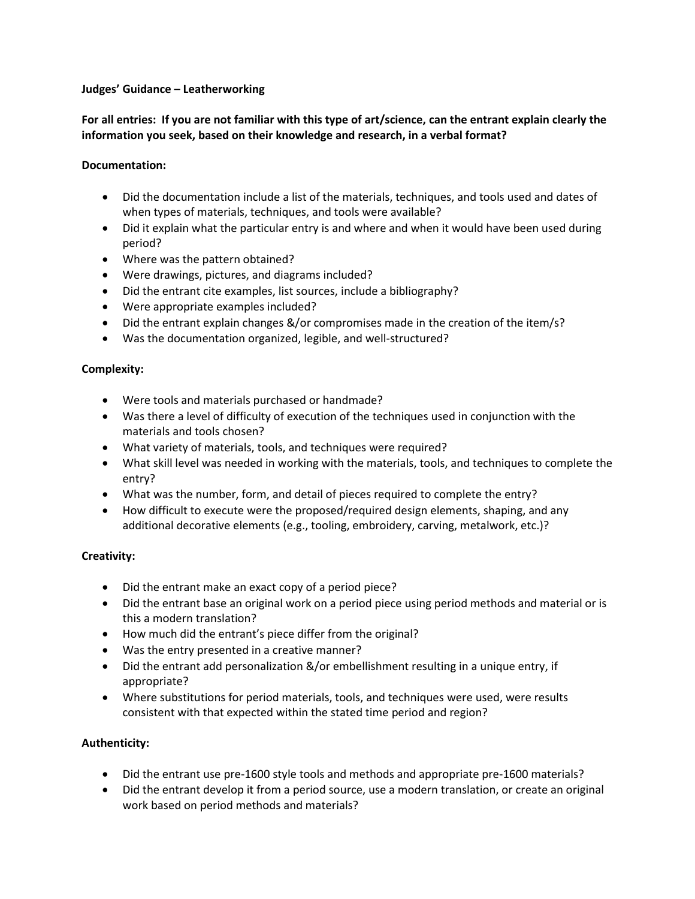#### **Judges' Guidance – Leatherworking**

## **For all entries: If you are not familiar with this type of art/science, can the entrant explain clearly the information you seek, based on their knowledge and research, in a verbal format?**

#### **Documentation:**

- Did the documentation include a list of the materials, techniques, and tools used and dates of when types of materials, techniques, and tools were available?
- Did it explain what the particular entry is and where and when it would have been used during period?
- Where was the pattern obtained?
- Were drawings, pictures, and diagrams included?
- Did the entrant cite examples, list sources, include a bibliography?
- Were appropriate examples included?
- Did the entrant explain changes &/or compromises made in the creation of the item/s?
- Was the documentation organized, legible, and well-structured?

## **Complexity:**

- Were tools and materials purchased or handmade?
- Was there a level of difficulty of execution of the techniques used in conjunction with the materials and tools chosen?
- What variety of materials, tools, and techniques were required?
- What skill level was needed in working with the materials, tools, and techniques to complete the entry?
- What was the number, form, and detail of pieces required to complete the entry?
- How difficult to execute were the proposed/required design elements, shaping, and any additional decorative elements (e.g., tooling, embroidery, carving, metalwork, etc.)?

#### **Creativity:**

- Did the entrant make an exact copy of a period piece?
- Did the entrant base an original work on a period piece using period methods and material or is this a modern translation?
- How much did the entrant's piece differ from the original?
- Was the entry presented in a creative manner?
- Did the entrant add personalization &/or embellishment resulting in a unique entry, if appropriate?
- Where substitutions for period materials, tools, and techniques were used, were results consistent with that expected within the stated time period and region?

# **Authenticity:**

- Did the entrant use pre-1600 style tools and methods and appropriate pre-1600 materials?
- Did the entrant develop it from a period source, use a modern translation, or create an original work based on period methods and materials?